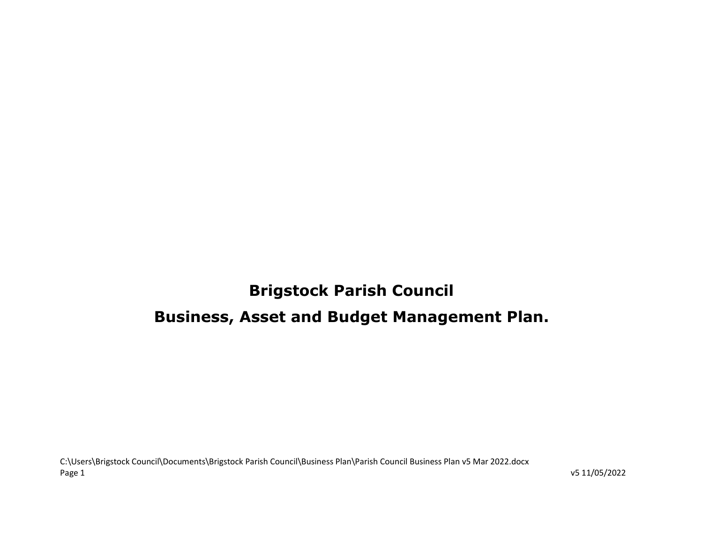# Brigstock Parish Council Business, Asset and Budget Management Plan.

C:\Users\Brigstock Council\Documents\Brigstock Parish Council\Business Plan\Parish Council Business Plan v5 Mar 2022.docx Page 1 v5 11/05/2022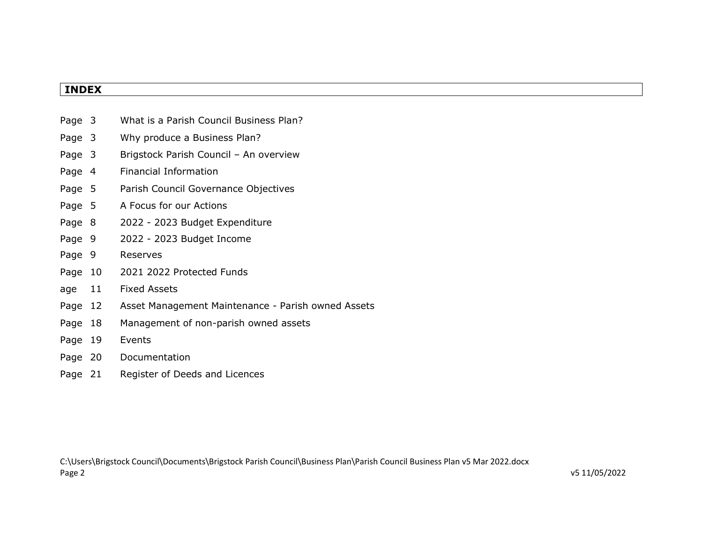# INDEX

| Page 3  |    | What is a Parish Council Business Plan?            |
|---------|----|----------------------------------------------------|
| Page 3  |    | Why produce a Business Plan?                       |
| Page 3  |    | Brigstock Parish Council - An overview             |
| Page 4  |    | Financial Information                              |
| Page 5  |    | Parish Council Governance Objectives               |
| Page 5  |    | A Focus for our Actions                            |
| Page 8  |    | 2022 - 2023 Budget Expenditure                     |
| Page 9  |    | 2022 - 2023 Budget Income                          |
| Page 9  |    | Reserves                                           |
| Page 10 |    | 2021 2022 Protected Funds                          |
| age     | 11 | <b>Fixed Assets</b>                                |
| Page 12 |    | Asset Management Maintenance - Parish owned Assets |
| Page 18 |    | Management of non-parish owned assets              |
| Page 19 |    | Events                                             |
| Page 20 |    | Documentation                                      |
| Page 21 |    | Register of Deeds and Licences                     |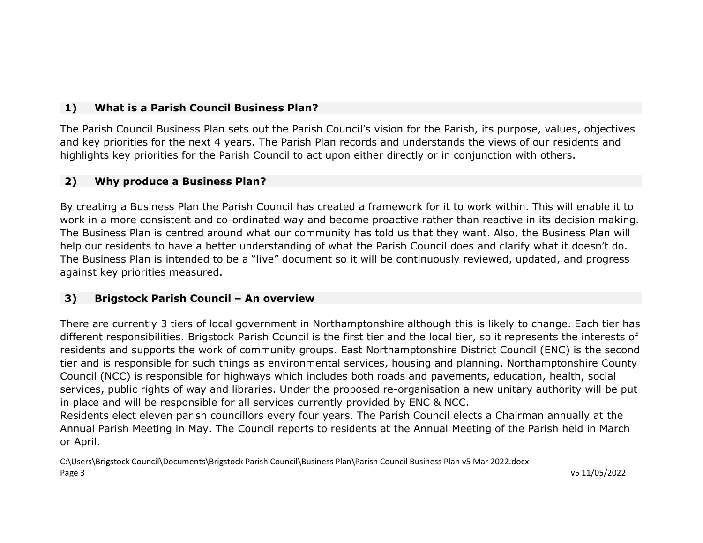### 1) What is a Parish Council Business Plan?

The Parish Council Business Plan sets out the Parish Council's vision for the Parish, its purpose, values, objectives and key priorities for the next 4 years. The Parish Plan records and understands the views of our residents and highlights key priorities for the Parish Council to act upon either directly or in conjunction with others.

### 2) Why produce a Business Plan?

By creating a Business Plan the Parish Council has created a framework for it to work within. This will enable it to work in a more consistent and co-ordinated way and become proactive rather than reactive in its decision making. The Business Plan is centred around what our community has told us that they want. Also, the Business Plan will help our residents to have a better understanding of what the Parish Council does and clarify what it doesn't do. The Business Plan is intended to be a "live" document so it will be continuously reviewed, updated, and progress against key priorities measured.

### 3) Brigstock Parish Council – An overview

There are currently 3 tiers of local government in Northamptonshire although this is likely to change. Each tier has different responsibilities. Brigstock Parish Council is the first tier and the local tier, so it represents the interests of residents and supports the work of community groups. East Northamptonshire District Council (ENC) is the second tier and is responsible for such things as environmental services, housing and planning. Northamptonshire County Council (NCC) is responsible for highways which includes both roads and pavements, education, health, social services, public rights of way and libraries. Under the proposed re-organisation a new unitary authority will be put in place and will be responsible for all services currently provided by ENC & NCC.

Residents elect eleven parish councillors every four years. The Parish Council elects a Chairman annually at the Annual Parish Meeting in May. The Council reports to residents at the Annual Meeting of the Parish held in March or April.

C:\Users\Brigstock Council\Documents\Brigstock Parish Council\Business Plan\Parish Council Business Plan v5 Mar 2022.docx Page 3 v5 11/05/2022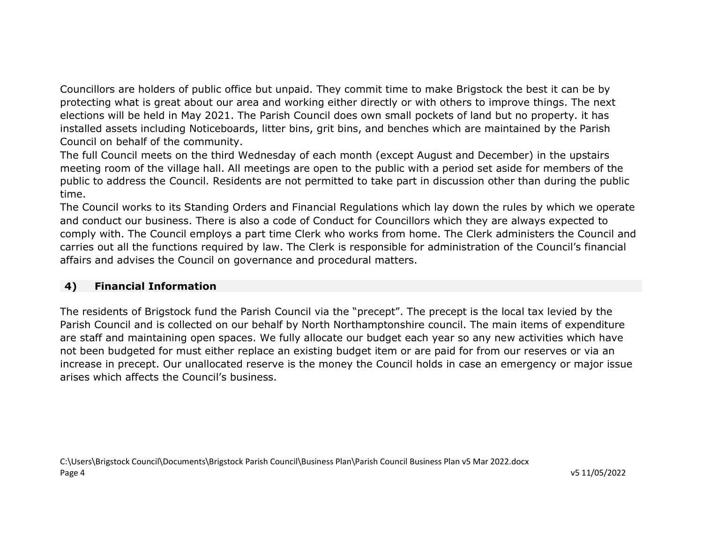Councillors are holders of public office but unpaid. They commit time to make Brigstock the best it can be by protecting what is great about our area and working either directly or with others to improve things. The next elections will be held in May 2021. The Parish Council does own small pockets of land but no property. it has installed assets including Noticeboards, litter bins, grit bins, and benches which are maintained by the Parish Council on behalf of the community.

The full Council meets on the third Wednesday of each month (except August and December) in the upstairs meeting room of the village hall. All meetings are open to the public with a period set aside for members of the public to address the Council. Residents are not permitted to take part in discussion other than during the public time.

The Council works to its Standing Orders and Financial Regulations which lay down the rules by which we operate and conduct our business. There is also a code of Conduct for Councillors which they are always expected to comply with. The Council employs a part time Clerk who works from home. The Clerk administers the Council and carries out all the functions required by law. The Clerk is responsible for administration of the Council's financial affairs and advises the Council on governance and procedural matters.

### 4) Financial Information

The residents of Brigstock fund the Parish Council via the "precept". The precept is the local tax levied by the Parish Council and is collected on our behalf by North Northamptonshire council. The main items of expenditure are staff and maintaining open spaces. We fully allocate our budget each year so any new activities which have not been budgeted for must either replace an existing budget item or are paid for from our reserves or via an increase in precept. Our unallocated reserve is the money the Council holds in case an emergency or major issue arises which affects the Council's business.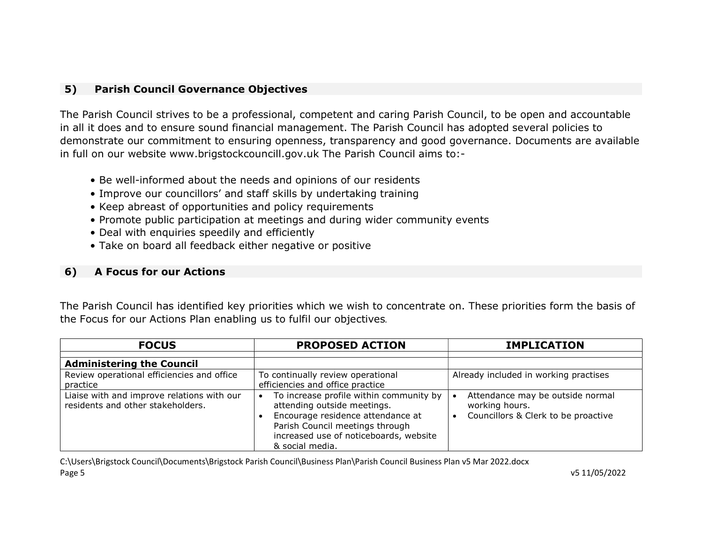### 5) Parish Council Governance Objectives

The Parish Council strives to be a professional, competent and caring Parish Council, to be open and accountable in all it does and to ensure sound financial management. The Parish Council has adopted several policies to demonstrate our commitment to ensuring openness, transparency and good governance. Documents are available in full on our website www.brigstockcouncill.gov.uk The Parish Council aims to:-

- Be well-informed about the needs and opinions of our residents
- Improve our councillors' and staff skills by undertaking training
- Keep abreast of opportunities and policy requirements
- Promote public participation at meetings and during wider community events
- Deal with enquiries speedily and efficiently
- Take on board all feedback either negative or positive

### 6) A Focus for our Actions

The Parish Council has identified key priorities which we wish to concentrate on. These priorities form the basis of the Focus for our Actions Plan enabling us to fulfil our objectives.

| <b>FOCUS</b>                                                                    | <b>PROPOSED ACTION</b>                                                                                                                                                                                      | <b>IMPLICATION</b>                                                                        |  |  |
|---------------------------------------------------------------------------------|-------------------------------------------------------------------------------------------------------------------------------------------------------------------------------------------------------------|-------------------------------------------------------------------------------------------|--|--|
| <b>Administering the Council</b>                                                |                                                                                                                                                                                                             |                                                                                           |  |  |
| Review operational efficiencies and office<br>practice                          | To continually review operational<br>efficiencies and office practice                                                                                                                                       | Already included in working practises                                                     |  |  |
| Liaise with and improve relations with our<br>residents and other stakeholders. | To increase profile within community by<br>attending outside meetings.<br>Encourage residence attendance at<br>Parish Council meetings through<br>increased use of noticeboards, website<br>& social media. | Attendance may be outside normal<br>working hours.<br>Councillors & Clerk to be proactive |  |  |

C:\Users\Brigstock Council\Documents\Brigstock Parish Council\Business Plan\Parish Council Business Plan v5 Mar 2022.docx Page 5 v5 11/05/2022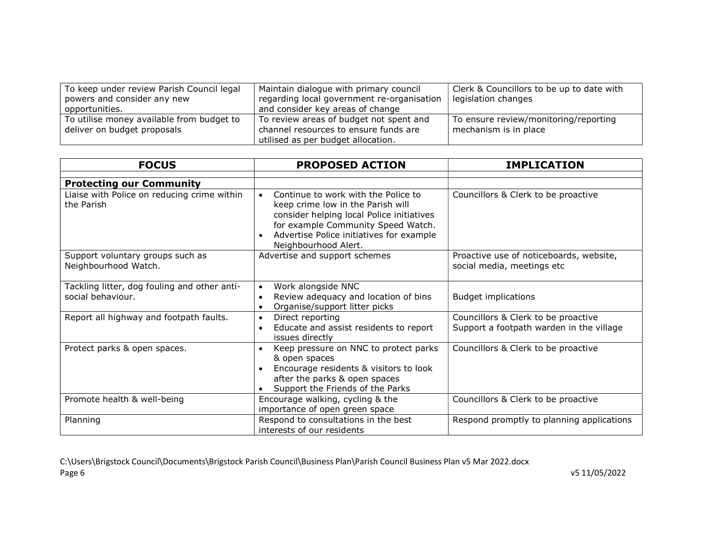| To keep under review Parish Council legal | Maintain dialogue with primary council     | Clerk & Councillors to be up to date with |
|-------------------------------------------|--------------------------------------------|-------------------------------------------|
| powers and consider any new               | regarding local government re-organisation | legislation changes                       |
| opportunities.                            | and consider key areas of change           |                                           |
| To utilise money available from budget to | To review areas of budget not spent and    | To ensure review/monitoring/reporting     |
| deliver on budget proposals               | channel resources to ensure funds are      | mechanism is in place                     |
|                                           | utilised as per budget allocation.         |                                           |

| <b>FOCUS</b>                                                                                 | <b>PROPOSED ACTION</b>                                                                                                                                                                                                                                    | <b>IMPLICATION</b>                                                              |  |
|----------------------------------------------------------------------------------------------|-----------------------------------------------------------------------------------------------------------------------------------------------------------------------------------------------------------------------------------------------------------|---------------------------------------------------------------------------------|--|
|                                                                                              |                                                                                                                                                                                                                                                           |                                                                                 |  |
| <b>Protecting our Community</b><br>Liaise with Police on reducing crime within<br>the Parish | Continue to work with the Police to<br>$\bullet$<br>keep crime low in the Parish will<br>consider helping local Police initiatives<br>for example Community Speed Watch.<br>Advertise Police initiatives for example<br>$\bullet$<br>Neighbourhood Alert. | Councillors & Clerk to be proactive                                             |  |
| Support voluntary groups such as<br>Neighbourhood Watch.                                     | Advertise and support schemes                                                                                                                                                                                                                             | Proactive use of noticeboards, website,<br>social media, meetings etc           |  |
| Tackling litter, dog fouling and other anti-<br>social behaviour.                            | Work alongside NNC<br>$\bullet$<br>Review adequacy and location of bins<br>$\bullet$<br>Organise/support litter picks                                                                                                                                     | <b>Budget implications</b>                                                      |  |
| Report all highway and footpath faults.                                                      | Direct reporting<br>$\bullet$<br>Educate and assist residents to report<br>$\bullet$<br>issues directly                                                                                                                                                   | Councillors & Clerk to be proactive<br>Support a footpath warden in the village |  |
| Protect parks & open spaces.                                                                 | Keep pressure on NNC to protect parks<br>& open spaces<br>Encourage residents & visitors to look<br>after the parks & open spaces<br>Support the Friends of the Parks                                                                                     | Councillors & Clerk to be proactive                                             |  |
| Promote health & well-being                                                                  | Encourage walking, cycling & the<br>importance of open green space                                                                                                                                                                                        | Councillors & Clerk to be proactive                                             |  |
| Planning                                                                                     | Respond to consultations in the best<br>interests of our residents                                                                                                                                                                                        | Respond promptly to planning applications                                       |  |

C:\Users\Brigstock Council\Documents\Brigstock Parish Council\Business Plan\Parish Council Business Plan v5 Mar 2022.docx Page 6 v5 11/05/2022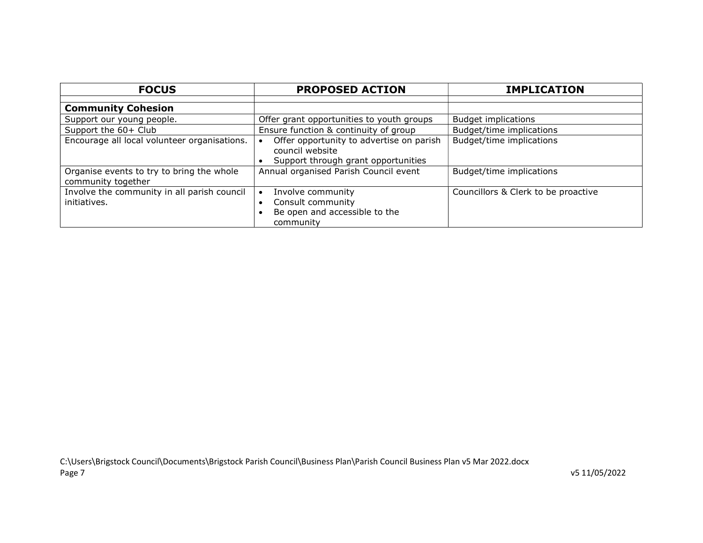| <b>FOCUS</b>                                                    | <b>PROPOSED ACTION</b>                                                                             | <b>IMPLICATION</b>                  |
|-----------------------------------------------------------------|----------------------------------------------------------------------------------------------------|-------------------------------------|
| <b>Community Cohesion</b>                                       |                                                                                                    |                                     |
| Support our young people.                                       | Offer grant opportunities to youth groups                                                          | <b>Budget implications</b>          |
| Support the 60+ Club                                            | Ensure function & continuity of group                                                              | Budget/time implications            |
| Encourage all local volunteer organisations.                    | Offer opportunity to advertise on parish<br>council website<br>Support through grant opportunities | Budget/time implications            |
| Organise events to try to bring the whole<br>community together | Annual organised Parish Council event                                                              | Budget/time implications            |
| Involve the community in all parish council<br>initiatives.     | Involve community<br>Consult community<br>Be open and accessible to the<br>community               | Councillors & Clerk to be proactive |

v5 11/05/2022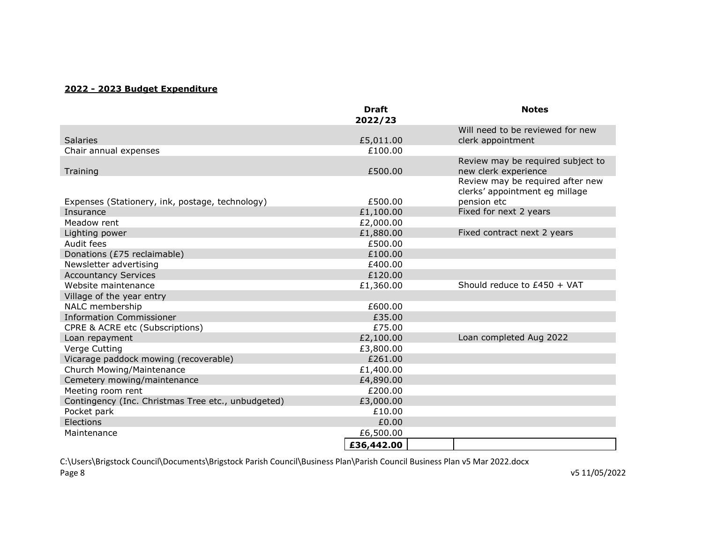### 2022 - 2023 Budget Expenditure

|                                                    | <b>Draft</b><br>2022/23 | <b>Notes</b>                                                       |
|----------------------------------------------------|-------------------------|--------------------------------------------------------------------|
|                                                    |                         | Will need to be reviewed for new                                   |
| <b>Salaries</b>                                    | £5,011.00               | clerk appointment                                                  |
| Chair annual expenses                              | £100.00                 |                                                                    |
| Training                                           | £500.00                 | Review may be required subject to<br>new clerk experience          |
|                                                    |                         | Review may be required after new<br>clerks' appointment eg millage |
| Expenses (Stationery, ink, postage, technology)    | £500.00                 | pension etc                                                        |
| Insurance                                          | £1,100.00               | Fixed for next 2 years                                             |
| Meadow rent                                        | £2,000.00               |                                                                    |
| Lighting power                                     | £1,880.00               | Fixed contract next 2 years                                        |
| Audit fees                                         | £500.00                 |                                                                    |
| Donations (£75 reclaimable)                        | £100.00                 |                                                                    |
| Newsletter advertising                             | £400.00                 |                                                                    |
| <b>Accountancy Services</b>                        | £120.00                 |                                                                    |
| Website maintenance                                | £1,360.00               | Should reduce to £450 + VAT                                        |
| Village of the year entry                          |                         |                                                                    |
| NALC membership                                    | £600.00                 |                                                                    |
| <b>Information Commissioner</b>                    | £35.00                  |                                                                    |
| CPRE & ACRE etc (Subscriptions)                    | £75.00                  |                                                                    |
| Loan repayment                                     | £2,100.00               | Loan completed Aug 2022                                            |
| Verge Cutting                                      | £3,800.00               |                                                                    |
| Vicarage paddock mowing (recoverable)              | £261.00                 |                                                                    |
| Church Mowing/Maintenance                          | £1,400.00               |                                                                    |
| Cemetery mowing/maintenance                        | £4,890.00               |                                                                    |
| Meeting room rent                                  | £200.00                 |                                                                    |
| Contingency (Inc. Christmas Tree etc., unbudgeted) | £3,000.00               |                                                                    |
| Pocket park                                        | £10.00                  |                                                                    |
| Elections                                          | £0.00                   |                                                                    |
| Maintenance                                        | £6,500.00               |                                                                    |
|                                                    | £36,442.00              |                                                                    |

C:\Users\Brigstock Council\Documents\Brigstock Parish Council\Business Plan\Parish Council Business Plan v5 Mar 2022.docx Page 8 v5 11/05/2022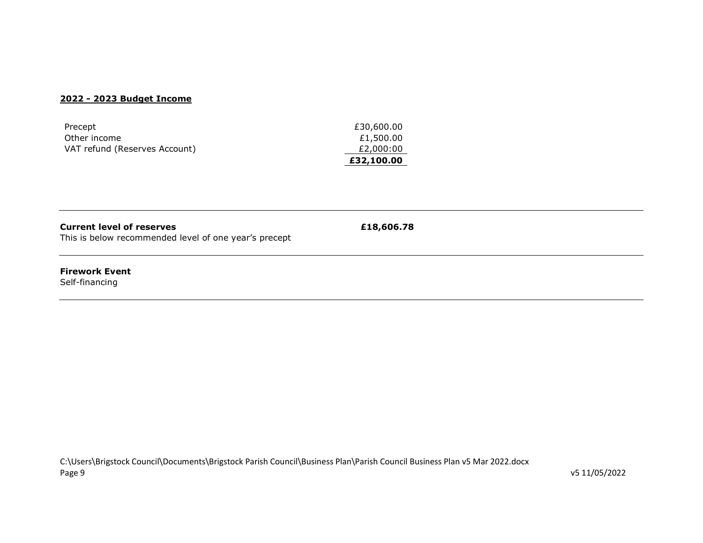#### 2022 - 2023 Budget Income

| Precept                       | £30,600.00 |
|-------------------------------|------------|
| Other income                  | £1,500.00  |
| VAT refund (Reserves Account) | £2,000:00  |
|                               | £32,100.00 |

 $£18,606.78$ 

This is below recommended level of one year's precept

#### Firework Event

Self-financing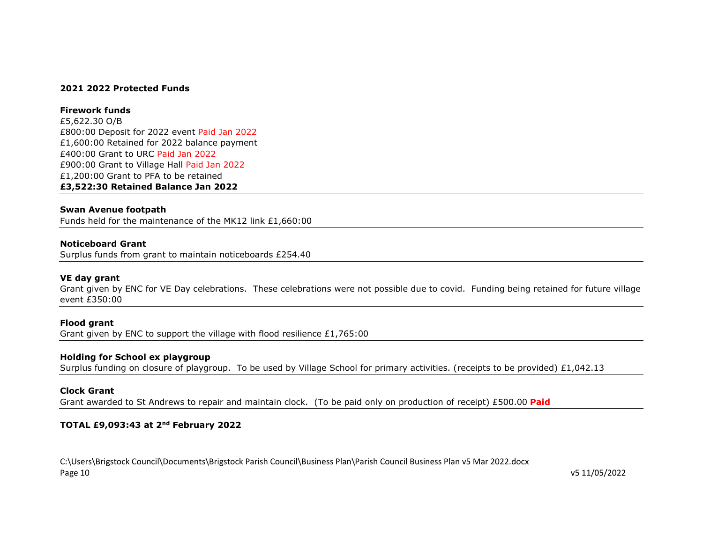#### 2021 2022 Protected Funds

#### Firework funds

£5,622.30 O/B £800:00 Deposit for 2022 event Paid Jan 2022 £1,600:00 Retained for 2022 balance payment £400:00 Grant to URC Paid Jan 2022 £900:00 Grant to Village Hall Paid Jan 2022 £1,200:00 Grant to PFA to be retained £3,522:30 Retained Balance Jan 2022

#### Swan Avenue footpath

Funds held for the maintenance of the MK12 link £1,660:00

#### Noticeboard Grant

Surplus funds from grant to maintain noticeboards £254.40

#### VE day grant

Grant given by ENC for VE Day celebrations. These celebrations were not possible due to covid. Funding being retained for future village event £350:00

#### Flood grant

Grant given by ENC to support the village with flood resilience £1,765:00

#### Holding for School ex playgroup

Surplus funding on closure of playgroup. To be used by Village School for primary activities. (receipts to be provided) £1,042.13

#### Clock Grant

Grant awarded to St Andrews to repair and maintain clock. (To be paid only on production of receipt)  $£500.00$  Paid

#### TOTAL £9,093:43 at 2nd February 2022

C:\Users\Brigstock Council\Documents\Brigstock Parish Council\Business Plan\Parish Council Business Plan v5 Mar 2022.docx Page 10 v5 11/05/2022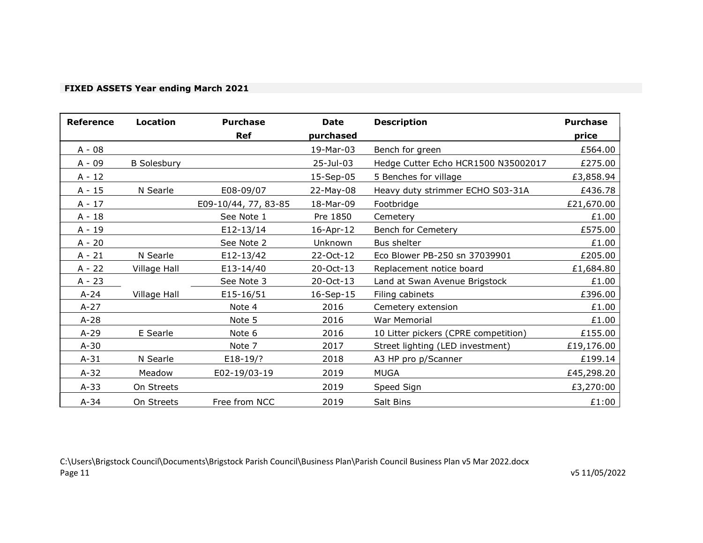### FIXED ASSETS Year ending March 2021

| <b>Reference</b> | <b>Location</b>    | <b>Purchase</b>      | <b>Date</b> | <b>Description</b>                   | <b>Purchase</b> |
|------------------|--------------------|----------------------|-------------|--------------------------------------|-----------------|
|                  |                    | <b>Ref</b>           | purchased   |                                      | price           |
| $A - 08$         |                    |                      | 19-Mar-03   | Bench for green                      | £564.00         |
| A - 09           | <b>B</b> Solesbury |                      | 25-Jul-03   | Hedge Cutter Echo HCR1500 N35002017  | £275.00         |
| $A - 12$         |                    |                      | 15-Sep-05   | 5 Benches for village                | £3,858.94       |
| $A - 15$         | N Searle           | E08-09/07            | 22-May-08   | Heavy duty strimmer ECHO S03-31A     | £436.78         |
| $A - 17$         |                    | E09-10/44, 77, 83-85 | 18-Mar-09   | Footbridge                           | £21,670.00      |
| $A - 18$         |                    | See Note 1           | Pre 1850    | Cemetery                             | £1.00           |
| A - 19           |                    | E12-13/14            | 16-Apr-12   | Bench for Cemetery                   | £575.00         |
| $A - 20$         |                    | See Note 2           | Unknown     | Bus shelter                          | £1.00           |
| $A - 21$         | N Searle           | E12-13/42            | 22-Oct-12   | Eco Blower PB-250 sn 37039901        | £205.00         |
| $A - 22$         | Village Hall       | E13-14/40            | 20-Oct-13   | Replacement notice board             | £1,684.80       |
| $A - 23$         |                    | See Note 3           | 20-Oct-13   | Land at Swan Avenue Brigstock        | £1.00           |
| $A-24$           | Village Hall       | E15-16/51            | 16-Sep-15   | Filing cabinets                      | £396.00         |
| $A-27$           |                    | Note 4               | 2016        | Cemetery extension                   | £1.00           |
| $A-28$           |                    | Note 5               | 2016        | War Memorial                         | £1.00           |
| $A-29$           | E Searle           | Note 6               | 2016        | 10 Litter pickers (CPRE competition) | £155.00         |
| $A-30$           |                    | Note 7               | 2017        | Street lighting (LED investment)     | £19,176.00      |
| $A-31$           | N Searle           | E18-19/?             | 2018        | A3 HP pro p/Scanner                  | £199.14         |
| $A-32$           | Meadow             | E02-19/03-19         | 2019        | <b>MUGA</b>                          | £45,298.20      |
| $A-33$           | On Streets         |                      | 2019        | Speed Sign                           | £3,270:00       |
| $A - 34$         | On Streets         | Free from NCC        | 2019        | Salt Bins                            | £1:00           |

C:\Users\Brigstock Council\Documents\Brigstock Parish Council\Business Plan\Parish Council Business Plan v5 Mar 2022.docx Page 11 v5 11/05/2022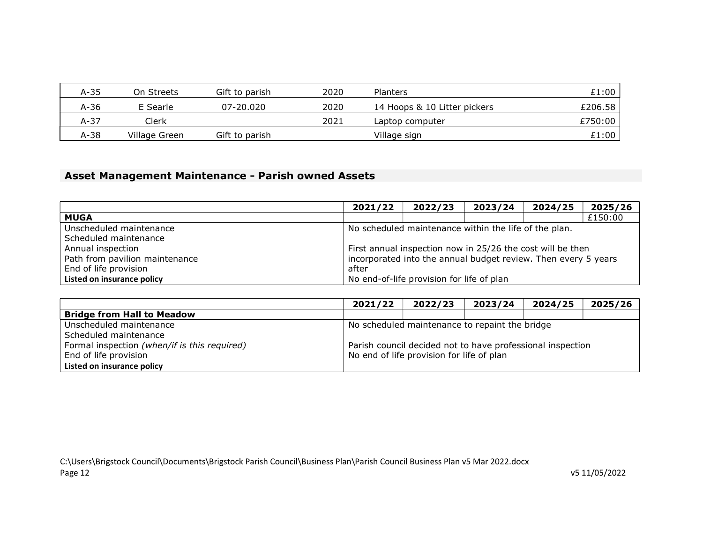| A-35 | On Streets    | Gift to parish | 2020 | <b>Planters</b>              | £1:00   |
|------|---------------|----------------|------|------------------------------|---------|
| A-36 | E Searle      | 07-20.020      | 2020 | 14 Hoops & 10 Litter pickers | £206.58 |
| A-37 | Clerk         |                | 2021 | Laptop computer              | £750:00 |
| A-38 | Village Green | Gift to parish |      | Village sign                 | £1:00   |

### Asset Management Maintenance - Parish owned Assets

|                                | 2021/22                                                        | 2022/23                                   | 2023/24 | 2024/25 | 2025/26 |
|--------------------------------|----------------------------------------------------------------|-------------------------------------------|---------|---------|---------|
| <b>MUGA</b>                    |                                                                |                                           |         |         | £150:00 |
| Unscheduled maintenance        | No scheduled maintenance within the life of the plan.          |                                           |         |         |         |
| Scheduled maintenance          |                                                                |                                           |         |         |         |
| Annual inspection              | First annual inspection now in 25/26 the cost will be then     |                                           |         |         |         |
| Path from pavilion maintenance | incorporated into the annual budget review. Then every 5 years |                                           |         |         |         |
| End of life provision          | after                                                          |                                           |         |         |         |
| Listed on insurance policy     |                                                                | No end-of-life provision for life of plan |         |         |         |

|                                              | 2021/22                                        | 2022/23                                                    | 2023/24 | 2024/25 | 2025/26 |
|----------------------------------------------|------------------------------------------------|------------------------------------------------------------|---------|---------|---------|
| <b>Bridge from Hall to Meadow</b>            |                                                |                                                            |         |         |         |
| Unscheduled maintenance                      | No scheduled maintenance to repaint the bridge |                                                            |         |         |         |
| Scheduled maintenance                        |                                                |                                                            |         |         |         |
| Formal inspection (when/if is this required) |                                                | Parish council decided not to have professional inspection |         |         |         |
| End of life provision                        | No end of life provision for life of plan      |                                                            |         |         |         |
| Listed on insurance policy                   |                                                |                                                            |         |         |         |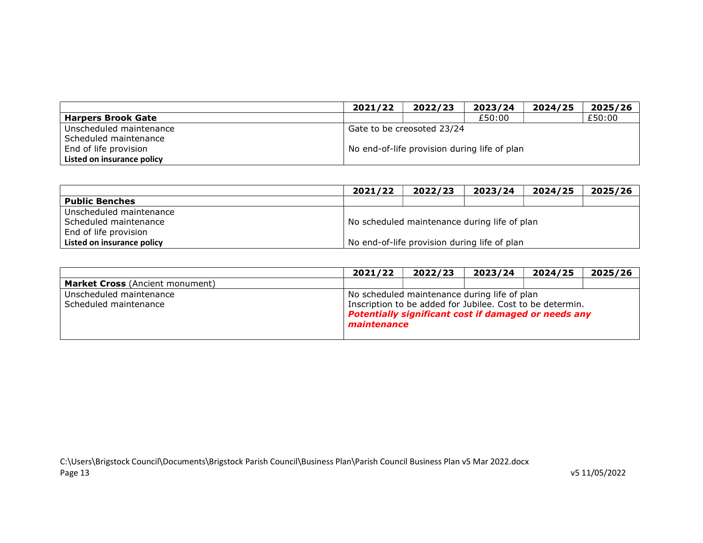|                            | 2021/22                                      | 2022/23 | 2023/24 | 2024/25 | 2025/26 |  |  |
|----------------------------|----------------------------------------------|---------|---------|---------|---------|--|--|
| <b>Harpers Brook Gate</b>  |                                              |         | £50:00  |         | £50:00  |  |  |
| Unscheduled maintenance    | Gate to be creosoted 23/24                   |         |         |         |         |  |  |
| Scheduled maintenance      |                                              |         |         |         |         |  |  |
| End of life provision      | No end-of-life provision during life of plan |         |         |         |         |  |  |
| Listed on insurance policy |                                              |         |         |         |         |  |  |

|                            | 2021/22                                      | 2022/23                                      | 2023/24 | 2024/25 | 2025/26 |  |  |  |
|----------------------------|----------------------------------------------|----------------------------------------------|---------|---------|---------|--|--|--|
| <b>Public Benches</b>      |                                              |                                              |         |         |         |  |  |  |
| Unscheduled maintenance    |                                              |                                              |         |         |         |  |  |  |
| Scheduled maintenance      |                                              | No scheduled maintenance during life of plan |         |         |         |  |  |  |
| End of life provision      |                                              |                                              |         |         |         |  |  |  |
| Listed on insurance policy | No end-of-life provision during life of plan |                                              |         |         |         |  |  |  |

|                                        | 2021/22 | 2022/23                                                             | 2023/24 | 2024/25 | 2025/26 |  |  |  |  |
|----------------------------------------|---------|---------------------------------------------------------------------|---------|---------|---------|--|--|--|--|
| <b>Market Cross (Ancient monument)</b> |         |                                                                     |         |         |         |  |  |  |  |
| Unscheduled maintenance                |         | No scheduled maintenance during life of plan                        |         |         |         |  |  |  |  |
| Scheduled maintenance                  |         | Inscription to be added for Jubilee. Cost to be determin.           |         |         |         |  |  |  |  |
|                                        |         | Potentially significant cost if damaged or needs any<br>maintenance |         |         |         |  |  |  |  |
|                                        |         |                                                                     |         |         |         |  |  |  |  |

v5 11/05/2022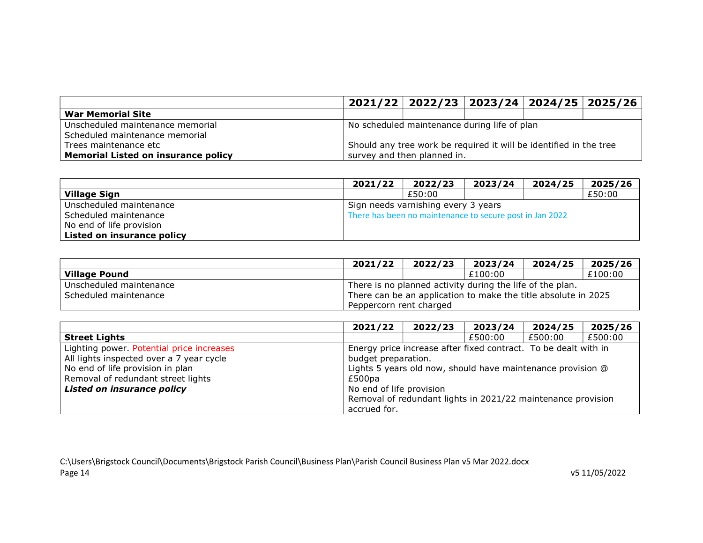|                                            |                                                                    | 2021/22 2022/23 2023/24 2024/25 2025/26 |  |  |  |  |  |
|--------------------------------------------|--------------------------------------------------------------------|-----------------------------------------|--|--|--|--|--|
| <b>War Memorial Site</b>                   |                                                                    |                                         |  |  |  |  |  |
| Unscheduled maintenance memorial           | No scheduled maintenance during life of plan                       |                                         |  |  |  |  |  |
| Scheduled maintenance memorial             |                                                                    |                                         |  |  |  |  |  |
| Trees maintenance etc                      | Should any tree work be required it will be identified in the tree |                                         |  |  |  |  |  |
| <b>Memorial Listed on insurance policy</b> |                                                                    | survey and then planned in.             |  |  |  |  |  |

|                            | 2021/22                             | 2022/23                                                  | 2023/24 | 2024/25 | 2025/26 |  |  |  |
|----------------------------|-------------------------------------|----------------------------------------------------------|---------|---------|---------|--|--|--|
| <b>Village Sign</b>        |                                     | £50:00                                                   |         |         | £50:00  |  |  |  |
| Unscheduled maintenance    | Sign needs varnishing every 3 years |                                                          |         |         |         |  |  |  |
| Scheduled maintenance      |                                     | There has been no maintenance to secure post in Jan 2022 |         |         |         |  |  |  |
| No end of life provision   |                                     |                                                          |         |         |         |  |  |  |
| Listed on insurance policy |                                     |                                                          |         |         |         |  |  |  |

|                         | 2021/22                                                        | 2022/23 | 2023/24 | 2024/25 | 2025/26 |  |  |
|-------------------------|----------------------------------------------------------------|---------|---------|---------|---------|--|--|
| <b>Village Pound</b>    |                                                                |         | £100:00 |         | £100:00 |  |  |
| Unscheduled maintenance | There is no planned activity during the life of the plan.      |         |         |         |         |  |  |
| Scheduled maintenance   | There can be an application to make the title absolute in 2025 |         |         |         |         |  |  |
|                         | Peppercorn rent charged                                        |         |         |         |         |  |  |

|                                           | 2021/22                                                      | 2022/23                                                         | 2023/24 | 2024/25 | 2025/26 |  |  |  |
|-------------------------------------------|--------------------------------------------------------------|-----------------------------------------------------------------|---------|---------|---------|--|--|--|
| <b>Street Lights</b>                      |                                                              |                                                                 | £500:00 | £500:00 | £500:00 |  |  |  |
| Lighting power. Potential price increases |                                                              | Energy price increase after fixed contract. To be dealt with in |         |         |         |  |  |  |
| All lights inspected over a 7 year cycle  | budget preparation.                                          |                                                                 |         |         |         |  |  |  |
| No end of life provision in plan          | Lights 5 years old now, should have maintenance provision @  |                                                                 |         |         |         |  |  |  |
| Removal of redundant street lights        | £500pa                                                       |                                                                 |         |         |         |  |  |  |
| <b>Listed on insurance policy</b>         | No end of life provision                                     |                                                                 |         |         |         |  |  |  |
|                                           | Removal of redundant lights in 2021/22 maintenance provision |                                                                 |         |         |         |  |  |  |
|                                           | accrued for.                                                 |                                                                 |         |         |         |  |  |  |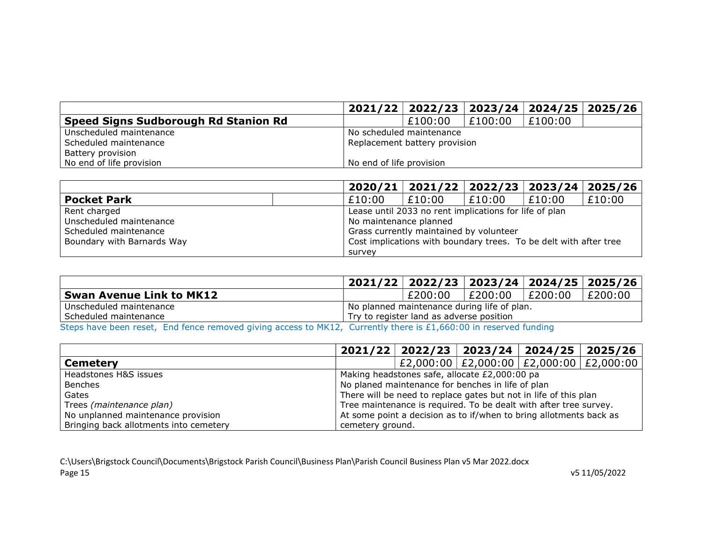|                                      |                          | $2021/22$   2022/23           |         | $2023/24$   2024/25   2025/26 |  |  |
|--------------------------------------|--------------------------|-------------------------------|---------|-------------------------------|--|--|
| Speed Signs Sudborough Rd Stanion Rd |                          | £100:00                       | £100:00 | £100:00                       |  |  |
| Unscheduled maintenance              | No scheduled maintenance |                               |         |                               |  |  |
| Scheduled maintenance                |                          | Replacement battery provision |         |                               |  |  |
| Battery provision                    |                          |                               |         |                               |  |  |
| No end of life provision             | No end of life provision |                               |         |                               |  |  |

|                            |                        | $2020/21$   2021/22   2022/23   2023/24   2025/26                 |        |        |        |  |
|----------------------------|------------------------|-------------------------------------------------------------------|--------|--------|--------|--|
| <b>Pocket Park</b>         | £10:00                 | £10:00                                                            | £10:00 | £10:00 | £10:00 |  |
| Rent charged               |                        | Lease until 2033 no rent implications for life of plan            |        |        |        |  |
| Unscheduled maintenance    | No maintenance planned |                                                                   |        |        |        |  |
| Scheduled maintenance      |                        | Grass currently maintained by volunteer                           |        |        |        |  |
| Boundary with Barnards Way |                        | Cost implications with boundary trees. To be delt with after tree |        |        |        |  |
|                            | survey                 |                                                                   |        |        |        |  |

|                                                                                                                  |                                             | 2021/22   2022/23   2023/24   2024/25   2025/26 |                 |  |         |
|------------------------------------------------------------------------------------------------------------------|---------------------------------------------|-------------------------------------------------|-----------------|--|---------|
| <b>Swan Avenue Link to MK12</b>                                                                                  |                                             | £200:00                                         | E200:00 E200:00 |  | £200:00 |
| Unscheduled maintenance                                                                                          | No planned maintenance during life of plan. |                                                 |                 |  |         |
| Scheduled maintenance                                                                                            | Try to register land as adverse position    |                                                 |                 |  |         |
| Steps have been reset, End fence removed giving access to MK12, Currently there is £1,660:00 in reserved funding |                                             |                                                 |                 |  |         |

|                                        |                  | $2021/22$   2022/23   2023/24   2024/25   2025/26                  |  |                                               |  |  |  |
|----------------------------------------|------------------|--------------------------------------------------------------------|--|-----------------------------------------------|--|--|--|
| <b>Cemetery</b>                        |                  |                                                                    |  | £2,000:00   £2,000:00   £2,000:00   £2,000:00 |  |  |  |
| Headstones H&S issues                  |                  | Making headstones safe, allocate £2,000:00 pa                      |  |                                               |  |  |  |
| <b>Benches</b>                         |                  | No planed maintenance for benches in life of plan                  |  |                                               |  |  |  |
| Gates                                  |                  | There will be need to replace gates but not in life of this plan   |  |                                               |  |  |  |
| Trees (maintenance plan)               |                  | Tree maintenance is required. To be dealt with after tree survey.  |  |                                               |  |  |  |
| No unplanned maintenance provision     |                  | At some point a decision as to if/when to bring allotments back as |  |                                               |  |  |  |
| Bringing back allotments into cemetery | cemetery ground. |                                                                    |  |                                               |  |  |  |

C:\Users\Brigstock Council\Documents\Brigstock Parish Council\Business Plan\Parish Council Business Plan v5 Mar 2022.docx Page 15 v5 11/05/2022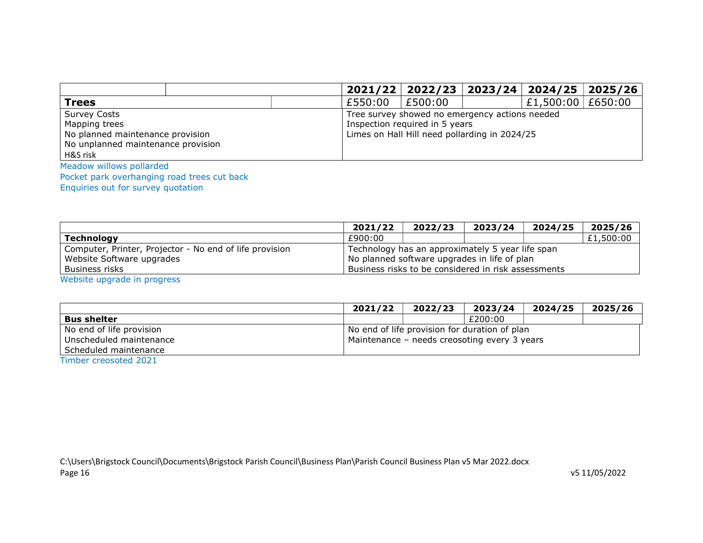|                                    |         |                                                |  | $2021/22$   2022/23   2023/24   2024/25   2025/26 |  |  |  |
|------------------------------------|---------|------------------------------------------------|--|---------------------------------------------------|--|--|--|
| <b>Trees</b>                       | £550:00 | £500:00                                        |  | £1,500:00 $\,$ £650:00                            |  |  |  |
| <b>Survey Costs</b>                |         | Tree survey showed no emergency actions needed |  |                                                   |  |  |  |
| Mapping trees                      |         | Inspection required in 5 years                 |  |                                                   |  |  |  |
| No planned maintenance provision   |         | Limes on Hall Hill need pollarding in 2024/25  |  |                                                   |  |  |  |
| No unplanned maintenance provision |         |                                                |  |                                                   |  |  |  |
| H&S risk                           |         |                                                |  |                                                   |  |  |  |
| Meadow willows pollarded           |         |                                                |  |                                                   |  |  |  |

Pocket park overhanging road trees cut back

Enquiries out for survey quotation

|                                                         | 2021/22 | 2022/23                                             | 2023/24 | 2024/25 | 2025/26   |
|---------------------------------------------------------|---------|-----------------------------------------------------|---------|---------|-----------|
| <b>Technology</b>                                       | £900:00 |                                                     |         |         | £1,500:00 |
| Computer, Printer, Projector - No end of life provision |         | Technology has an approximately 5 year life span    |         |         |           |
| Website Software upgrades                               |         | No planned software upgrades in life of plan        |         |         |           |
| Business risks                                          |         | Business risks to be considered in risk assessments |         |         |           |
| Wabsite uparade in programs                             |         |                                                     |         |         |           |

Website upgrade in progress

|                                                                              | 2021/22 | 2022/23 | 2023/24                                                                                       | 2024/25 | 2025/26 |
|------------------------------------------------------------------------------|---------|---------|-----------------------------------------------------------------------------------------------|---------|---------|
| <b>Bus shelter</b>                                                           |         |         | £200:00                                                                                       |         |         |
| No end of life provision<br>Unscheduled maintenance<br>Scheduled maintenance |         |         | No end of life provision for duration of plan<br>Maintenance - needs creosoting every 3 years |         |         |

Timber creosoted 2021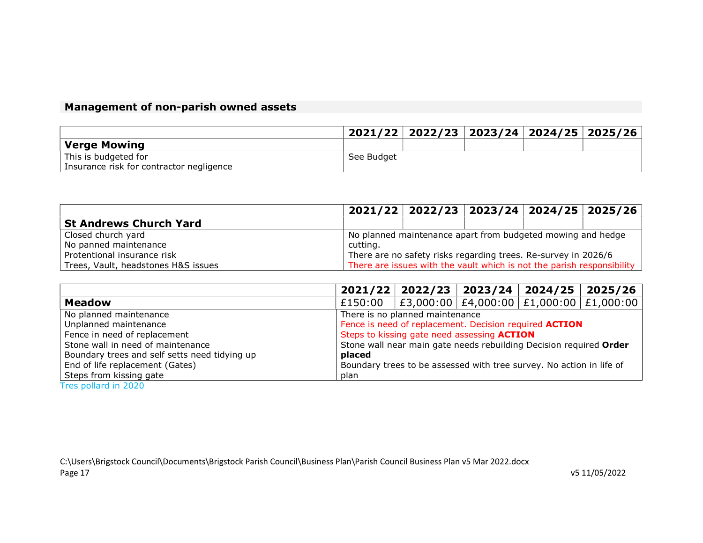## Management of non-parish owned assets

|                                          |            | 2021/22   2022/23   2023/24   2024/25   2025/26 |  |  |
|------------------------------------------|------------|-------------------------------------------------|--|--|
| Verge Mowing                             |            |                                                 |  |  |
| This is budgeted for                     | See Budget |                                                 |  |  |
| Insurance risk for contractor negligence |            |                                                 |  |  |

|                                     |                                                             | $2021/22$   2022/23   2023/24   2024/25   2025/26                      |  |  |  |
|-------------------------------------|-------------------------------------------------------------|------------------------------------------------------------------------|--|--|--|
| <b>St Andrews Church Yard</b>       |                                                             |                                                                        |  |  |  |
| Closed church yard                  | No planned maintenance apart from budgeted mowing and hedge |                                                                        |  |  |  |
| No panned maintenance               | cutting.                                                    |                                                                        |  |  |  |
| Protentional insurance risk         |                                                             | There are no safety risks regarding trees. Re-survey in 2026/6         |  |  |  |
| Trees, Vault, headstones H&S issues |                                                             | There are issues with the vault which is not the parish responsibility |  |  |  |

|                                               |                                                                      | $2021/22$   2022/23   2023/24   2024/25   2025/26       |  |  |  |
|-----------------------------------------------|----------------------------------------------------------------------|---------------------------------------------------------|--|--|--|
| <b>Meadow</b>                                 | £150:00                                                              | $ $ £3,000:00 $ $ £4,000:00 $ $ £1,000:00 $ $ £1,000:00 |  |  |  |
| No planned maintenance                        | There is no planned maintenance                                      |                                                         |  |  |  |
| Unplanned maintenance                         | Fence is need of replacement. Decision required ACTION               |                                                         |  |  |  |
| Fence in need of replacement                  | Steps to kissing gate need assessing <b>ACTION</b>                   |                                                         |  |  |  |
| Stone wall in need of maintenance             | Stone wall near main gate needs rebuilding Decision required Order   |                                                         |  |  |  |
| Boundary trees and self setts need tidying up | placed                                                               |                                                         |  |  |  |
| End of life replacement (Gates)               | Boundary trees to be assessed with tree survey. No action in life of |                                                         |  |  |  |
| Steps from kissing gate                       | plan                                                                 |                                                         |  |  |  |

Tres pollard in 2020

C:\Users\Brigstock Council\Documents\Brigstock Parish Council\Business Plan\Parish Council Business Plan v5 Mar 2022.docx Page 17 v5 11/05/2022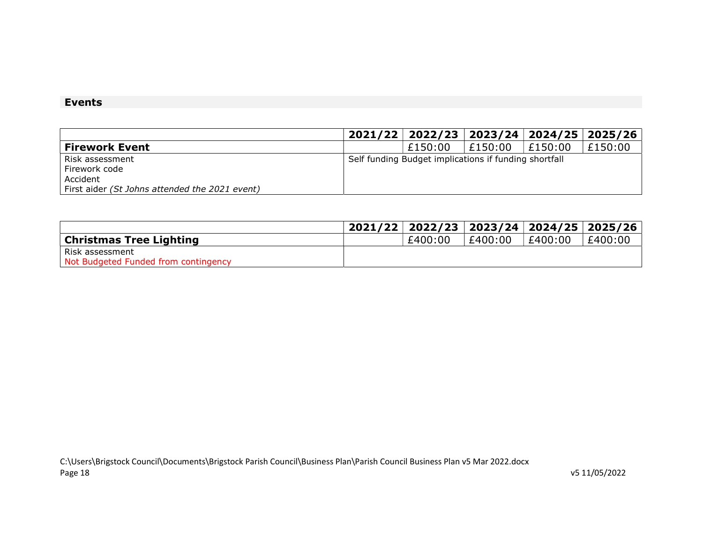### Events

|                                                | 2021/22   2022/23   2023/24   2024/25   2025/26       |         |         |         |
|------------------------------------------------|-------------------------------------------------------|---------|---------|---------|
| <b>Firework Event</b>                          | £150:00                                               | £150:00 | £150:00 | £150:00 |
| Risk assessment                                | Self funding Budget implications if funding shortfall |         |         |         |
| Firework code                                  |                                                       |         |         |         |
| Accident                                       |                                                       |         |         |         |
| First aider (St Johns attended the 2021 event) |                                                       |         |         |         |

|                                      | 2021/22   2022/23   2023/24   2024/25   2025/26 |         |         |         |
|--------------------------------------|-------------------------------------------------|---------|---------|---------|
| <b>Christmas Tree Lighting</b>       | £400:00                                         | £400:00 | £400:00 | £400:00 |
| l Risk assessment                    |                                                 |         |         |         |
| Not Budgeted Funded from contingency |                                                 |         |         |         |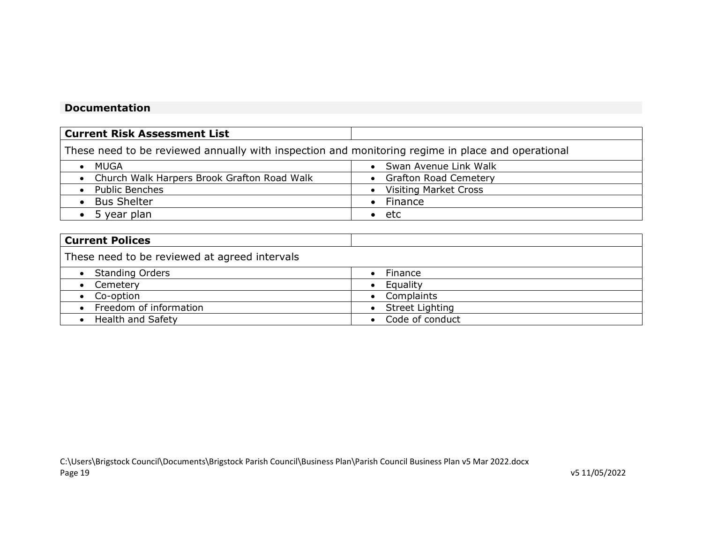### Documentation

| <b>Current Risk Assessment List</b>                                                               |                              |
|---------------------------------------------------------------------------------------------------|------------------------------|
| These need to be reviewed annually with inspection and monitoring regime in place and operational |                              |
| MUGA                                                                                              | Swan Avenue Link Walk        |
| • Church Walk Harpers Brook Grafton Road Walk                                                     | • Grafton Road Cemetery      |
| • Public Benches                                                                                  | <b>Visiting Market Cross</b> |
| <b>Bus Shelter</b>                                                                                | $\bullet$ Finance            |
| 5 year plan                                                                                       | $\bullet$ etc                |
|                                                                                                   |                              |

| <b>Current Polices</b>                        |                 |
|-----------------------------------------------|-----------------|
| These need to be reviewed at agreed intervals |                 |
| <b>Standing Orders</b>                        | Finance         |
| Cemetery                                      | Equality        |
| Co-option                                     | Complaints      |
| • Freedom of information                      | Street Lighting |
| <b>Health and Safety</b>                      | Code of conduct |